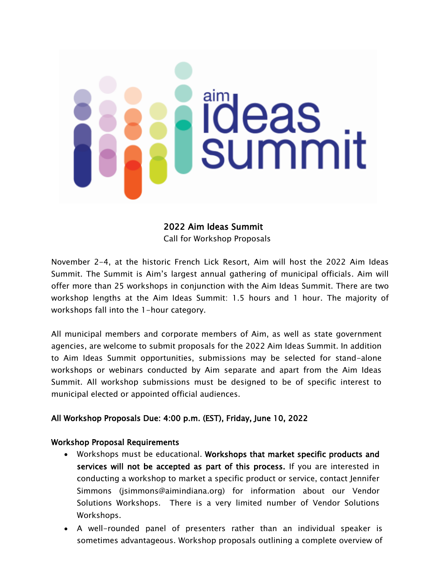# **ideas**<br>summit

# 2022 Aim Ideas Summit

Call for Workshop Proposals

November 2-4, at the historic French Lick Resort, Aim will host the 2022 Aim Ideas Summit. The Summit is Aim's largest annual gathering of municipal officials. Aim will offer more than 25 workshops in conjunction with the Aim Ideas Summit. There are two workshop lengths at the Aim Ideas Summit: 1.5 hours and 1 hour. The majority of workshops fall into the 1-hour category.

All municipal members and corporate members of Aim, as well as state government agencies, are welcome to submit proposals for the 2022 Aim Ideas Summit. In addition to Aim Ideas Summit opportunities, submissions may be selected for stand-alone workshops or webinars conducted by Aim separate and apart from the Aim Ideas Summit. All workshop submissions must be designed to be of specific interest to municipal elected or appointed official audiences.

# All Workshop Proposals Due: 4:00 p.m. (EST), Friday, June 10, 2022

### Workshop Proposal Requirements

- Workshops must be educational. Workshops that market specific products and services will not be accepted as part of this process. If you are interested in conducting a workshop to market a specific product or service, contact Jennifer Simmons (jsimmons@aimindiana.org) for information about our Vendor Solutions Workshops. There is a very limited number of Vendor Solutions Workshops.
- A well-rounded panel of presenters rather than an individual speaker is sometimes advantageous. Workshop proposals outlining a complete overview of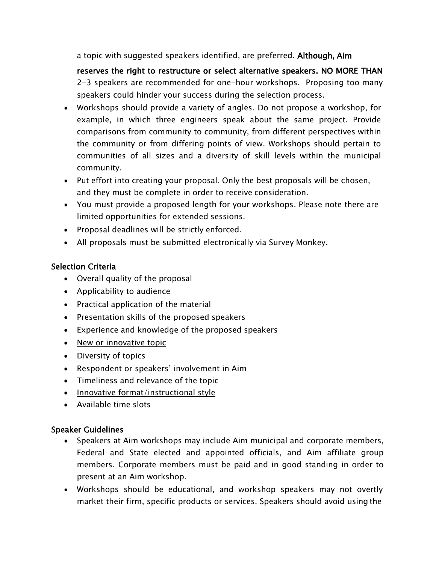a topic with suggested speakers identified, are preferred. Although, Aim

reserves the right to restructure or select alternative speakers. NO MORE THAN 2-3 speakers are recommended for one-hour workshops. Proposing too many speakers could hinder your success during the selection process.

- Workshops should provide a variety of angles. Do not propose a workshop, for example, in which three engineers speak about the same project. Provide comparisons from community to community, from different perspectives within the community or from differing points of view. Workshops should pertain to communities of all sizes and a diversity of skill levels within the municipal community.
- Put effort into creating your proposal. Only the best proposals will be chosen, and they must be complete in order to receive consideration.
- You must provide a proposed length for your workshops. Please note there are limited opportunities for extended sessions.
- Proposal deadlines will be strictly enforced.
- All proposals must be submitted electronically via Survey Monkey.

# Selection Criteria

- Overall quality of the proposal
- Applicability to audience
- Practical application of the material
- Presentation skills of the proposed speakers
- Experience and knowledge of the proposed speakers
- New or innovative topic
- Diversity of topics
- Respondent or speakers' involvement in Aim
- Timeliness and relevance of the topic
- Innovative format/instructional style
- Available time slots

# Speaker Guidelines

- Speakers at Aim workshops may include Aim municipal and corporate members, Federal and State elected and appointed officials, and Aim affiliate group members. Corporate members must be paid and in good standing in order to present at an Aim workshop.
- Workshops should be educational, and workshop speakers may not overtly market their firm, specific products or services. Speakers should avoid using the